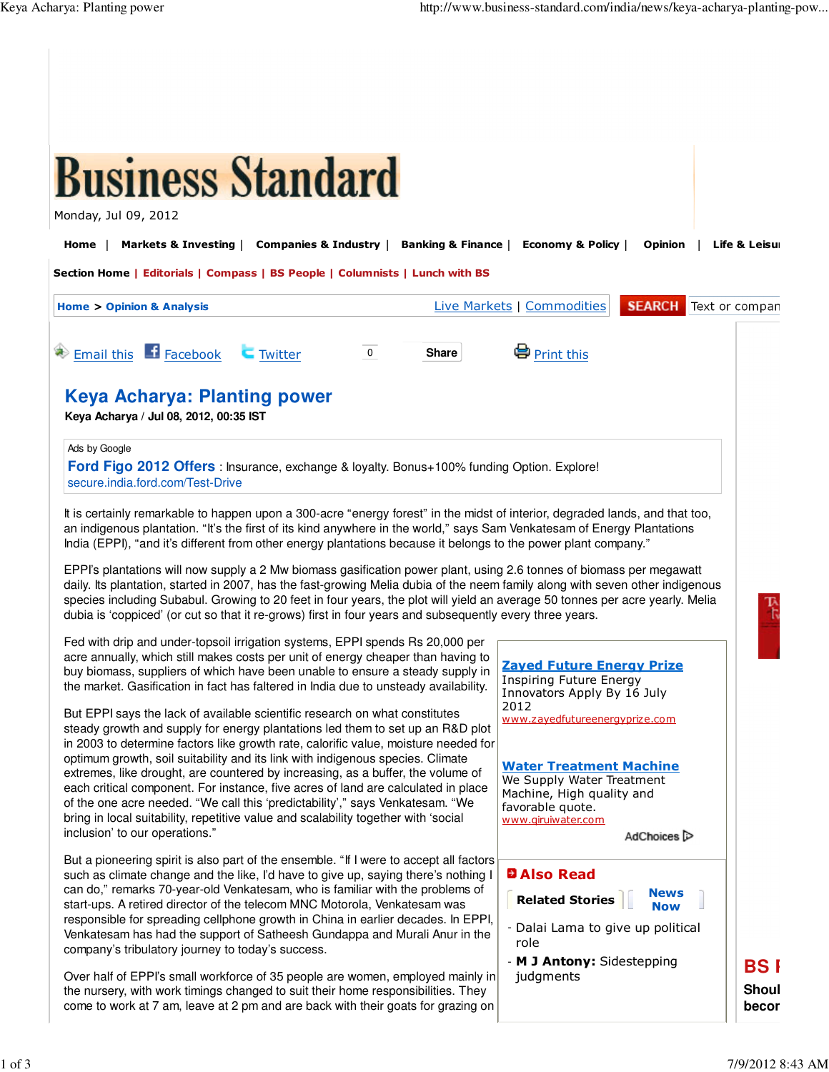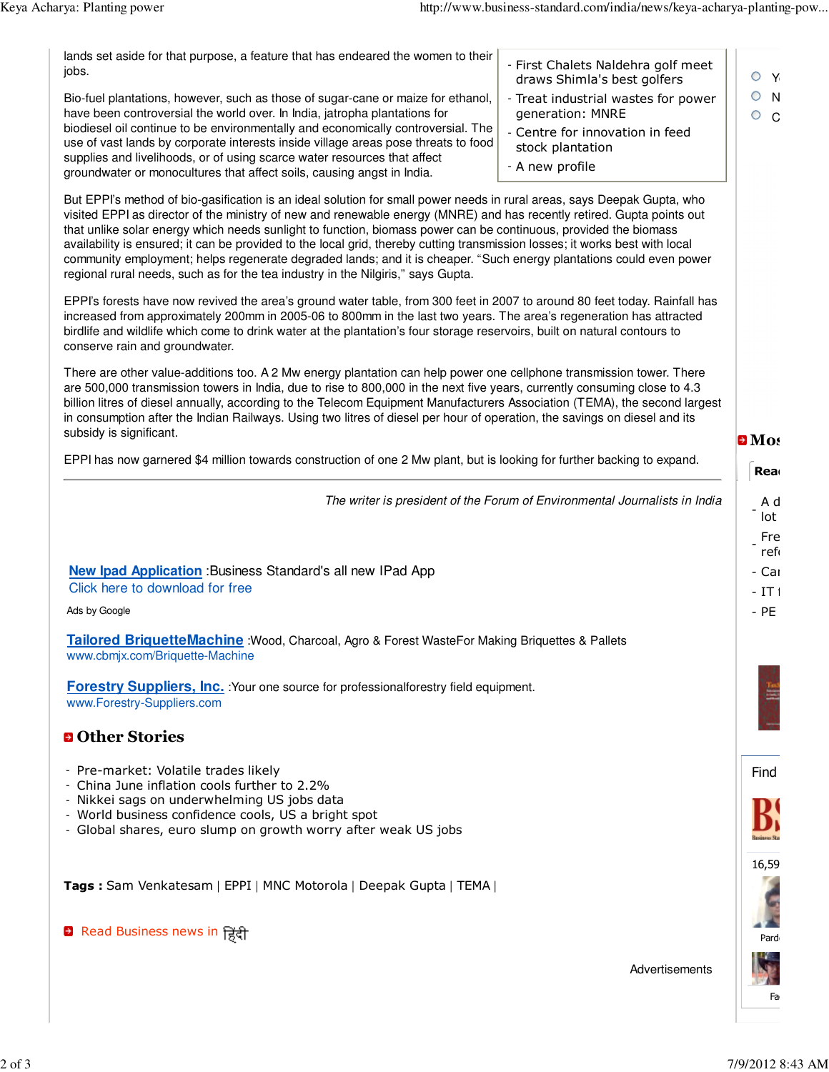| lands set aside for that purpose, a feature that has endeared the women to their<br>jobs.                                                                                                                                                                                                                                                                                                                                                                                                                                                                                                                                                                                                                        | - First Chalets Naldehra golf meet<br>draws Shimla's best golfers          | O<br>Y             |
|------------------------------------------------------------------------------------------------------------------------------------------------------------------------------------------------------------------------------------------------------------------------------------------------------------------------------------------------------------------------------------------------------------------------------------------------------------------------------------------------------------------------------------------------------------------------------------------------------------------------------------------------------------------------------------------------------------------|----------------------------------------------------------------------------|--------------------|
| Bio-fuel plantations, however, such as those of sugar-cane or maize for ethanol,<br>have been controversial the world over. In India, jatropha plantations for                                                                                                                                                                                                                                                                                                                                                                                                                                                                                                                                                   | - Treat industrial wastes for power<br>generation: MNRE                    | O<br>N<br>O<br>C   |
| biodiesel oil continue to be environmentally and economically controversial. The<br>use of vast lands by corporate interests inside village areas pose threats to food                                                                                                                                                                                                                                                                                                                                                                                                                                                                                                                                           | - Centre for innovation in feed                                            |                    |
| supplies and livelihoods, or of using scarce water resources that affect                                                                                                                                                                                                                                                                                                                                                                                                                                                                                                                                                                                                                                         | stock plantation<br>- A new profile                                        |                    |
| groundwater or monocultures that affect soils, causing angst in India.                                                                                                                                                                                                                                                                                                                                                                                                                                                                                                                                                                                                                                           |                                                                            |                    |
| But EPPI's method of bio-gasification is an ideal solution for small power needs in rural areas, says Deepak Gupta, who<br>visited EPPI as director of the ministry of new and renewable energy (MNRE) and has recently retired. Gupta points out<br>that unlike solar energy which needs sunlight to function, biomass power can be continuous, provided the biomass<br>availability is ensured; it can be provided to the local grid, thereby cutting transmission losses; it works best with local<br>community employment; helps regenerate degraded lands; and it is cheaper. "Such energy plantations could even power<br>regional rural needs, such as for the tea industry in the Nilgiris," says Gupta. |                                                                            |                    |
| EPPI's forests have now revived the area's ground water table, from 300 feet in 2007 to around 80 feet today. Rainfall has<br>increased from approximately 200mm in 2005-06 to 800mm in the last two years. The area's regeneration has attracted<br>birdlife and wildlife which come to drink water at the plantation's four storage reservoirs, built on natural contours to<br>conserve rain and groundwater.                                                                                                                                                                                                                                                                                                 |                                                                            |                    |
| There are other value-additions too. A 2 Mw energy plantation can help power one cellphone transmission tower. There<br>are 500,000 transmission towers in India, due to rise to 800,000 in the next five years, currently consuming close to 4.3<br>billion litres of diesel annually, according to the Telecom Equipment Manufacturers Association (TEMA), the second largest<br>in consumption after the Indian Railways. Using two litres of diesel per hour of operation, the savings on diesel and its<br>subsidy is significant.                                                                                                                                                                          |                                                                            | $\blacksquare$ Mos |
| EPPI has now garnered \$4 million towards construction of one 2 Mw plant, but is looking for further backing to expand.                                                                                                                                                                                                                                                                                                                                                                                                                                                                                                                                                                                          |                                                                            | <b>Rea</b>         |
|                                                                                                                                                                                                                                                                                                                                                                                                                                                                                                                                                                                                                                                                                                                  | The writer is president of the Forum of Environmental Journalists in India | A d                |
|                                                                                                                                                                                                                                                                                                                                                                                                                                                                                                                                                                                                                                                                                                                  |                                                                            | lot                |
|                                                                                                                                                                                                                                                                                                                                                                                                                                                                                                                                                                                                                                                                                                                  |                                                                            | Fre<br>ref         |
| <b>New Ipad Application</b> : Business Standard's all new IPad App<br>Click here to download for free                                                                                                                                                                                                                                                                                                                                                                                                                                                                                                                                                                                                            |                                                                            | - Car<br>$-1T1$    |
| Ads by Google                                                                                                                                                                                                                                                                                                                                                                                                                                                                                                                                                                                                                                                                                                    |                                                                            | $-$ PE             |
| Tailored BriquetteMachine : Wood, Charcoal, Agro & Forest WasteFor Making Briquettes & Pallets<br>www.cbmjx.com/Briquette-Machine                                                                                                                                                                                                                                                                                                                                                                                                                                                                                                                                                                                |                                                                            |                    |
| <b>Forestry Suppliers, Inc.</b> : Your one source for professionalforestry field equipment.<br>www.Forestry-Suppliers.com                                                                                                                                                                                                                                                                                                                                                                                                                                                                                                                                                                                        |                                                                            |                    |
| <b>D</b> Other Stories                                                                                                                                                                                                                                                                                                                                                                                                                                                                                                                                                                                                                                                                                           |                                                                            |                    |
| - Pre-market: Volatile trades likely                                                                                                                                                                                                                                                                                                                                                                                                                                                                                                                                                                                                                                                                             |                                                                            | Find               |
| - China June inflation cools further to 2.2%<br>- Nikkei sags on underwhelming US jobs data                                                                                                                                                                                                                                                                                                                                                                                                                                                                                                                                                                                                                      |                                                                            |                    |
| - World business confidence cools, US a bright spot<br>- Global shares, euro slump on growth worry after weak US jobs                                                                                                                                                                                                                                                                                                                                                                                                                                                                                                                                                                                            |                                                                            |                    |
|                                                                                                                                                                                                                                                                                                                                                                                                                                                                                                                                                                                                                                                                                                                  |                                                                            |                    |
| Tags: Sam Venkatesam   EPPI   MNC Motorola   Deepak Gupta   TEMA                                                                                                                                                                                                                                                                                                                                                                                                                                                                                                                                                                                                                                                 |                                                                            | 16,59              |
|                                                                                                                                                                                                                                                                                                                                                                                                                                                                                                                                                                                                                                                                                                                  |                                                                            |                    |
|                                                                                                                                                                                                                                                                                                                                                                                                                                                                                                                                                                                                                                                                                                                  |                                                                            |                    |
| <b>a</b> Read Business news in हिंदी                                                                                                                                                                                                                                                                                                                                                                                                                                                                                                                                                                                                                                                                             |                                                                            | Pard               |
|                                                                                                                                                                                                                                                                                                                                                                                                                                                                                                                                                                                                                                                                                                                  | Advertisements                                                             |                    |
|                                                                                                                                                                                                                                                                                                                                                                                                                                                                                                                                                                                                                                                                                                                  |                                                                            | Fa                 |